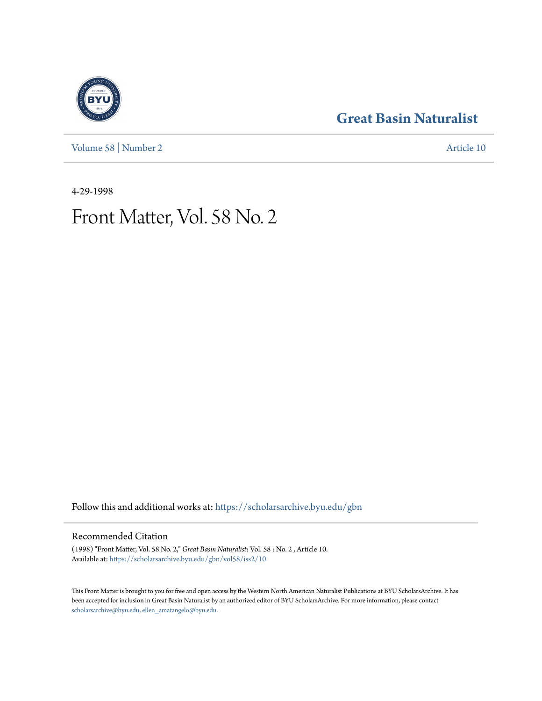**[Great Basin Naturalist](https://scholarsarchive.byu.edu/gbn?utm_source=scholarsarchive.byu.edu%2Fgbn%2Fvol58%2Fiss2%2F10&utm_medium=PDF&utm_campaign=PDFCoverPages)**

[Volume 58](https://scholarsarchive.byu.edu/gbn/vol58?utm_source=scholarsarchive.byu.edu%2Fgbn%2Fvol58%2Fiss2%2F10&utm_medium=PDF&utm_campaign=PDFCoverPages) | [Number 2](https://scholarsarchive.byu.edu/gbn/vol58/iss2?utm_source=scholarsarchive.byu.edu%2Fgbn%2Fvol58%2Fiss2%2F10&utm_medium=PDF&utm_campaign=PDFCoverPages) [Article 10](https://scholarsarchive.byu.edu/gbn/vol58/iss2/10?utm_source=scholarsarchive.byu.edu%2Fgbn%2Fvol58%2Fiss2%2F10&utm_medium=PDF&utm_campaign=PDFCoverPages)

4-29-1998

## Front Matter, Vol. 58 No. 2

Follow this and additional works at: [https://scholarsarchive.byu.edu/gbn](https://scholarsarchive.byu.edu/gbn?utm_source=scholarsarchive.byu.edu%2Fgbn%2Fvol58%2Fiss2%2F10&utm_medium=PDF&utm_campaign=PDFCoverPages)

### Recommended Citation

(1998) "Front Matter, Vol. 58 No. 2," *Great Basin Naturalist*: Vol. 58 : No. 2 , Article 10. Available at: [https://scholarsarchive.byu.edu/gbn/vol58/iss2/10](https://scholarsarchive.byu.edu/gbn/vol58/iss2/10?utm_source=scholarsarchive.byu.edu%2Fgbn%2Fvol58%2Fiss2%2F10&utm_medium=PDF&utm_campaign=PDFCoverPages)

This Front Matter is brought to you for free and open access by the Western North American Naturalist Publications at BYU ScholarsArchive. It has been accepted for inclusion in Great Basin Naturalist by an authorized editor of BYU ScholarsArchive. For more information, please contact [scholarsarchive@byu.edu, ellen\\_amatangelo@byu.edu.](mailto:scholarsarchive@byu.edu,%20ellen_amatangelo@byu.edu)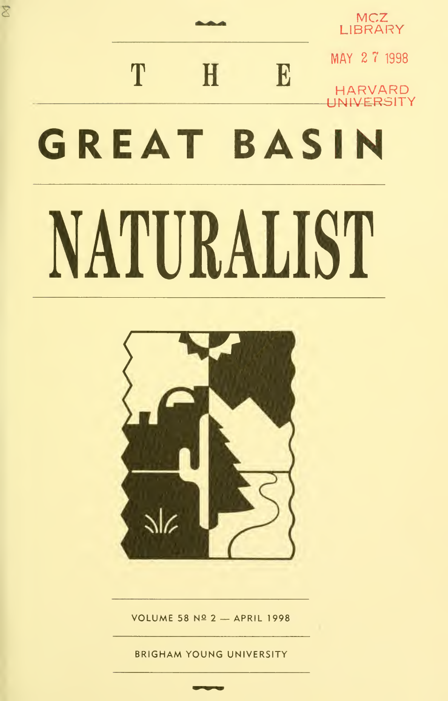# $\overline{\mathcal{E}}$  MCZ  $_{\text{LIBRARY}}$ T H E MARVARD UNIVERSITY IT P HARVARD NIVERSITY GREAT BASIN NATURALIST



VOLUME 58 Nº 2 - APRIL 1998

BRIGHAM YOUNG UNIVERSITY